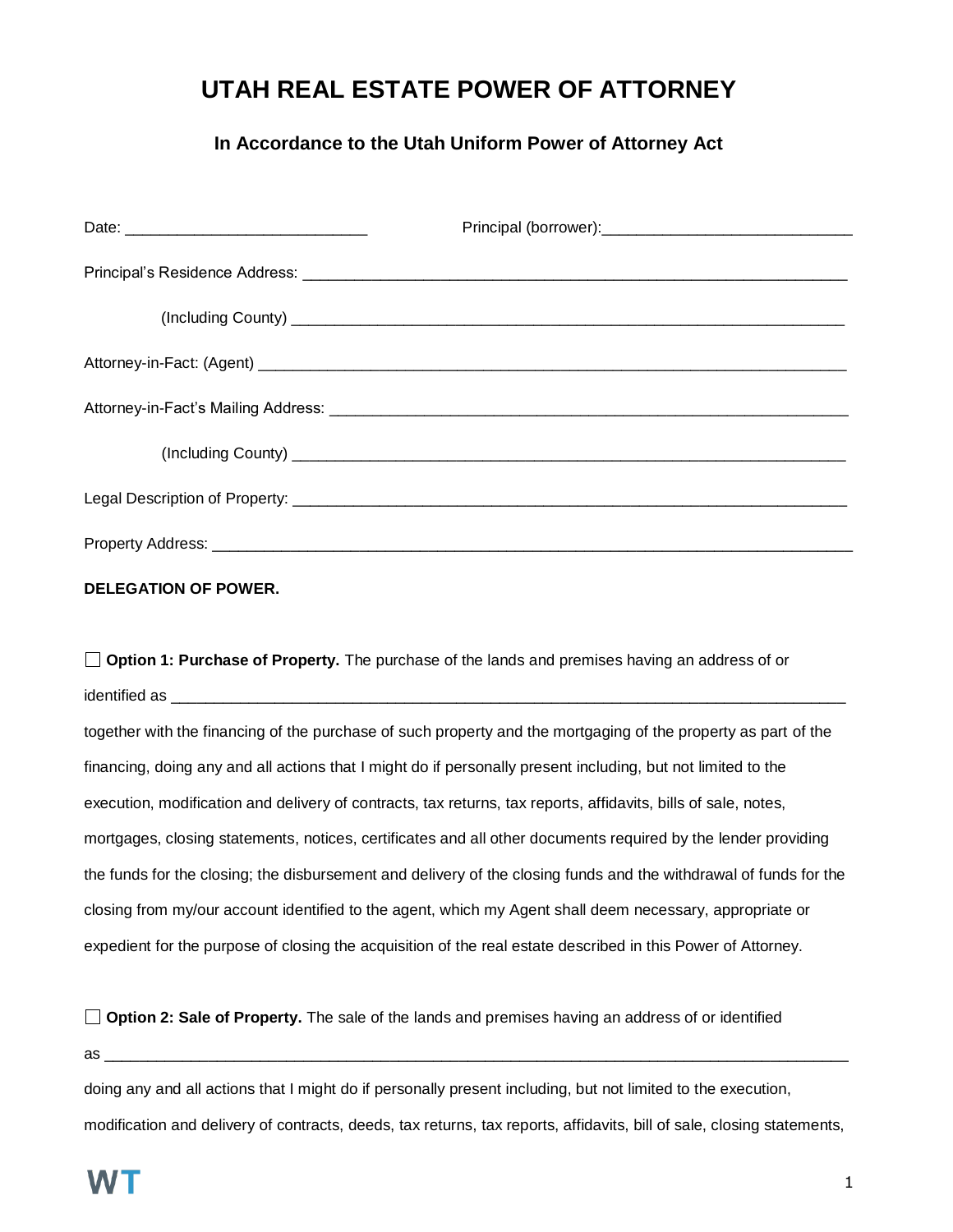## **UTAH REAL ESTATE POWER OF ATTORNEY**

## **In Accordance to the Utah Uniform Power of Attorney Act**

## **DELEGATION OF POWER.**

**Option 1: Purchase of Property.** The purchase of the lands and premises having an address of or identified as \_\_\_\_\_\_\_\_\_\_\_\_\_\_\_\_\_\_\_\_\_\_\_\_\_\_\_\_\_\_\_\_\_\_\_\_\_\_\_\_\_\_\_\_\_\_\_\_\_\_\_\_\_\_\_\_\_\_\_\_\_\_\_\_\_\_\_\_\_\_\_\_\_\_\_\_\_\_

together with the financing of the purchase of such property and the mortgaging of the property as part of the financing, doing any and all actions that I might do if personally present including, but not limited to the execution, modification and delivery of contracts, tax returns, tax reports, affidavits, bills of sale, notes, mortgages, closing statements, notices, certificates and all other documents required by the lender providing the funds for the closing; the disbursement and delivery of the closing funds and the withdrawal of funds for the closing from my/our account identified to the agent, which my Agent shall deem necessary, appropriate or expedient for the purpose of closing the acquisition of the real estate described in this Power of Attorney.

**Option 2: Sale of Property.** The sale of the lands and premises having an address of or identified

as \_\_\_\_\_\_\_\_\_\_\_\_\_\_\_\_\_\_\_\_\_\_\_\_\_\_\_\_\_\_\_\_\_\_\_\_\_\_\_\_\_\_\_\_\_\_\_\_\_\_\_\_\_\_\_\_\_\_\_\_\_\_\_\_\_\_\_\_\_\_\_\_\_\_\_\_\_\_\_\_\_\_\_\_\_\_

doing any and all actions that I might do if personally present including, but not limited to the execution, modification and delivery of contracts, deeds, tax returns, tax reports, affidavits, bill of sale, closing statements,

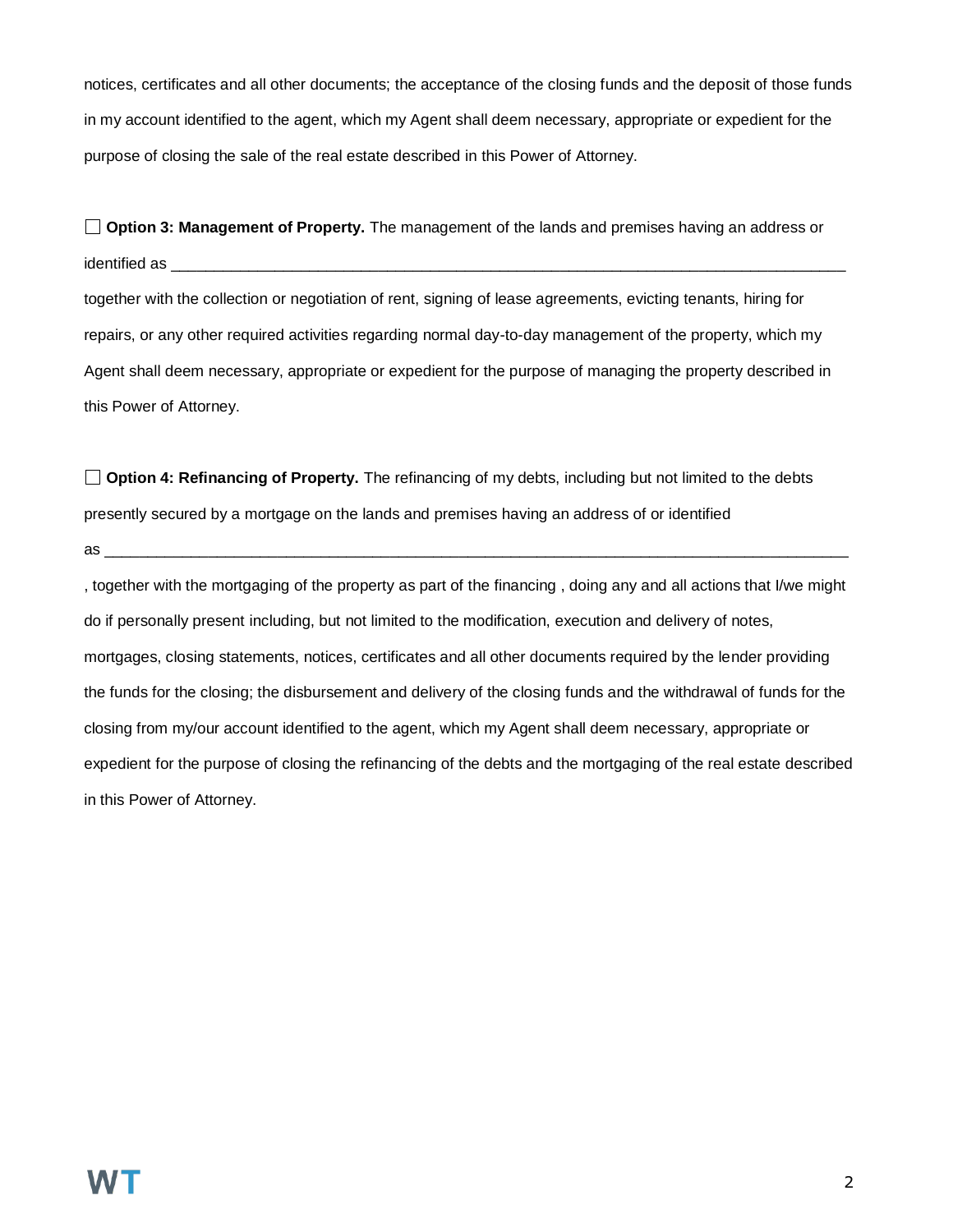notices, certificates and all other documents; the acceptance of the closing funds and the deposit of those funds in my account identified to the agent, which my Agent shall deem necessary, appropriate or expedient for the purpose of closing the sale of the real estate described in this Power of Attorney.

**Option 3: Management of Property.** The management of the lands and premises having an address or identified as \_\_\_\_\_\_\_\_\_\_\_\_\_\_\_\_\_\_\_\_\_\_\_\_\_\_\_\_\_\_\_\_\_\_\_\_\_\_\_\_\_\_\_\_\_\_\_\_\_\_\_\_\_\_\_\_\_\_\_\_\_\_\_\_\_\_\_\_\_\_\_\_\_\_\_\_\_\_

together with the collection or negotiation of rent, signing of lease agreements, evicting tenants, hiring for repairs, or any other required activities regarding normal day-to-day management of the property, which my Agent shall deem necessary, appropriate or expedient for the purpose of managing the property described in this Power of Attorney.

**Option 4: Refinancing of Property.** The refinancing of my debts, including but not limited to the debts presently secured by a mortgage on the lands and premises having an address of or identified

as  $\frac{1}{\sqrt{2}}$ 

, together with the mortgaging of the property as part of the financing , doing any and all actions that I/we might do if personally present including, but not limited to the modification, execution and delivery of notes, mortgages, closing statements, notices, certificates and all other documents required by the lender providing the funds for the closing; the disbursement and delivery of the closing funds and the withdrawal of funds for the closing from my/our account identified to the agent, which my Agent shall deem necessary, appropriate or expedient for the purpose of closing the refinancing of the debts and the mortgaging of the real estate described in this Power of Attorney.